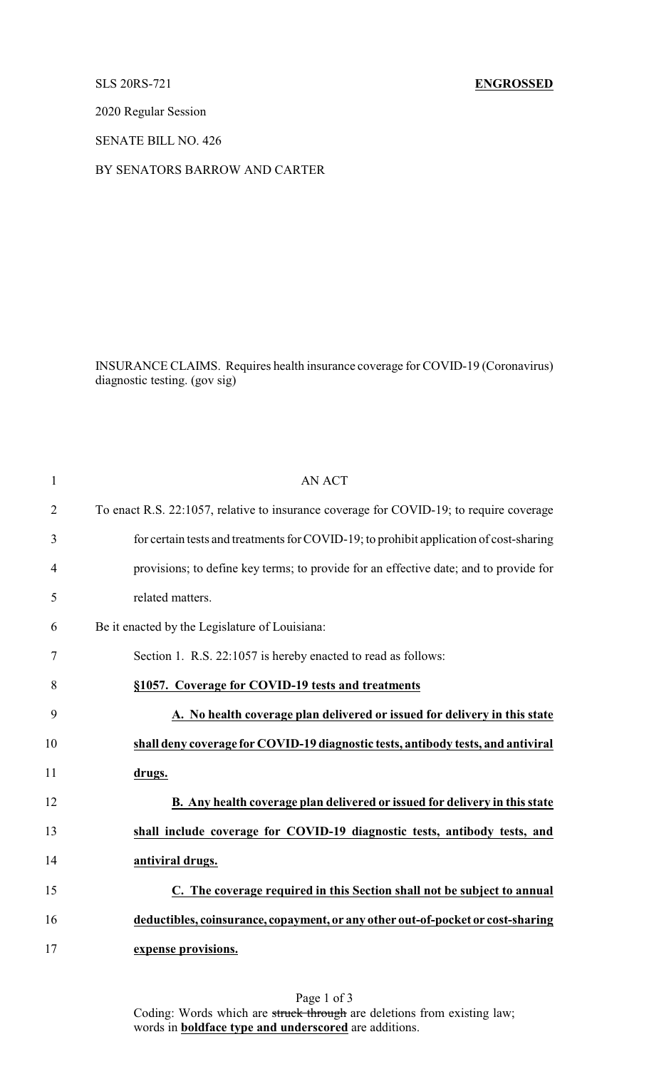## SLS 20RS-721 **ENGROSSED**

2020 Regular Session

SENATE BILL NO. 426

BY SENATORS BARROW AND CARTER

INSURANCE CLAIMS. Requires health insurance coverage for COVID-19 (Coronavirus) diagnostic testing. (gov sig)

| $\mathbf{1}$   | <b>AN ACT</b>                                                                           |
|----------------|-----------------------------------------------------------------------------------------|
| $\overline{2}$ | To enact R.S. 22:1057, relative to insurance coverage for COVID-19; to require coverage |
| 3              | for certain tests and treatments for COVID-19; to prohibit application of cost-sharing  |
| 4              | provisions; to define key terms; to provide for an effective date; and to provide for   |
| 5              | related matters.                                                                        |
| 6              | Be it enacted by the Legislature of Louisiana:                                          |
| $\tau$         | Section 1. R.S. 22:1057 is hereby enacted to read as follows:                           |
| 8              | §1057. Coverage for COVID-19 tests and treatments                                       |
| 9              | A. No health coverage plan delivered or issued for delivery in this state               |
| 10             | shall deny coverage for COVID-19 diagnostic tests, antibody tests, and antiviral        |
| 11             | drugs.                                                                                  |
| 12             | B. Any health coverage plan delivered or issued for delivery in this state              |
| 13             | shall include coverage for COVID-19 diagnostic tests, antibody tests, and               |
| 14             | antiviral drugs.                                                                        |
| 15             | C. The coverage required in this Section shall not be subject to annual                 |
| 16             | deductibles, coinsurance, copayment, or any other out-of-pocket or cost-sharing         |
| 17             | expense provisions.                                                                     |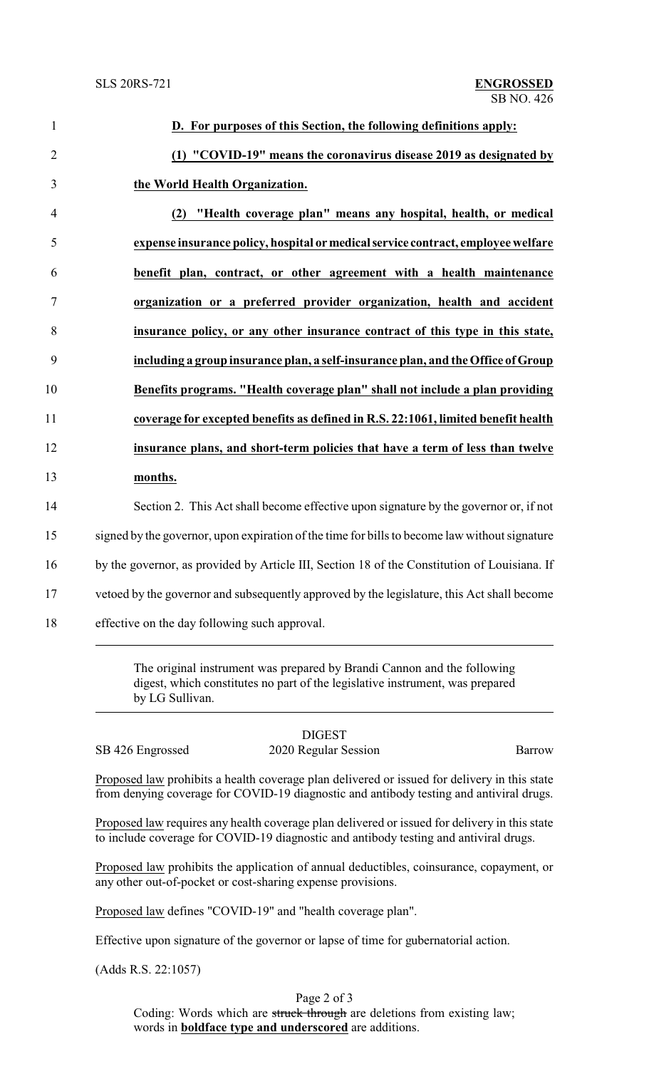| D. For purposes of this Section, the following definitions apply:                                                                                                           |
|-----------------------------------------------------------------------------------------------------------------------------------------------------------------------------|
| (1) "COVID-19" means the coronavirus disease 2019 as designated by                                                                                                          |
| the World Health Organization.                                                                                                                                              |
| (2) "Health coverage plan" means any hospital, health, or medical                                                                                                           |
| expense insurance policy, hospital or medical service contract, employee welfare                                                                                            |
| benefit plan, contract, or other agreement with a health maintenance                                                                                                        |
| organization or a preferred provider organization, health and accident                                                                                                      |
| insurance policy, or any other insurance contract of this type in this state,                                                                                               |
| including a group insurance plan, a self-insurance plan, and the Office of Group                                                                                            |
| Benefits programs. "Health coverage plan" shall not include a plan providing                                                                                                |
| coverage for excepted benefits as defined in R.S. 22:1061, limited benefit health                                                                                           |
| insurance plans, and short-term policies that have a term of less than twelve                                                                                               |
| months.                                                                                                                                                                     |
| Section 2. This Act shall become effective upon signature by the governor or, if not                                                                                        |
| signed by the governor, upon expiration of the time for bills to become law without signature                                                                               |
| by the governor, as provided by Article III, Section 18 of the Constitution of Louisiana. If                                                                                |
| vetoed by the governor and subsequently approved by the legislature, this Act shall become                                                                                  |
| effective on the day following such approval.                                                                                                                               |
| The original instrument was prepared by Brandi Cannon and the following<br>digest, which constitutes no part of the legislative instrument, was prepared<br>by LG Sullivan. |
|                                                                                                                                                                             |

SB 426 Engrossed 2020 Regular Session Barrow

DIGEST

Proposed law prohibits a health coverage plan delivered or issued for delivery in this state from denying coverage for COVID-19 diagnostic and antibody testing and antiviral drugs.

Proposed law requires any health coverage plan delivered or issued for delivery in this state to include coverage for COVID-19 diagnostic and antibody testing and antiviral drugs.

Proposed law prohibits the application of annual deductibles, coinsurance, copayment, or any other out-of-pocket or cost-sharing expense provisions.

Proposed law defines "COVID-19" and "health coverage plan".

Effective upon signature of the governor or lapse of time for gubernatorial action.

(Adds R.S. 22:1057)

Page 2 of 3

Coding: Words which are struck through are deletions from existing law; words in **boldface type and underscored** are additions.